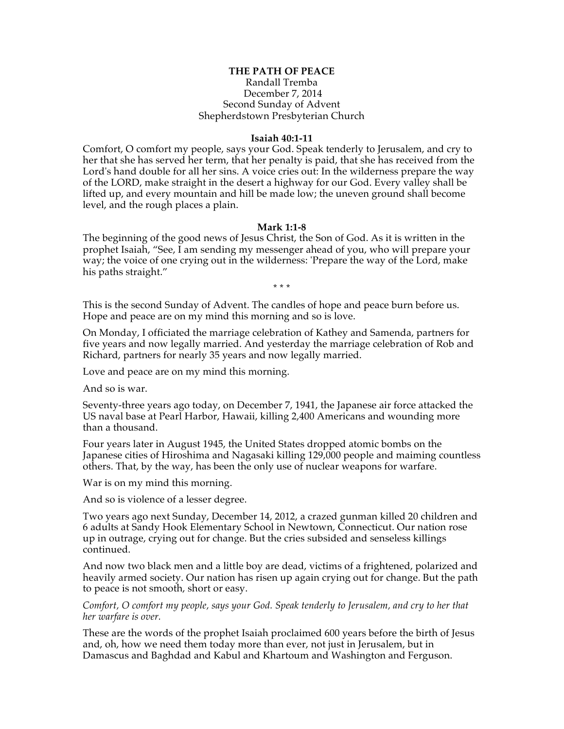## **THE PATH OF PEACE**

## Randall Tremba December 7, 2014 Second Sunday of Advent Shepherdstown Presbyterian Church

## **Isaiah 40:1-11**

Comfort, O comfort my people, says your God. Speak tenderly to Jerusalem, and cry to her that she has served her term, that her penalty is paid, that she has received from the Lord's hand double for all her sins. A voice cries out: In the wilderness prepare the way of the LORD, make straight in the desert a highway for our God. Every valley shall be lifted up, and every mountain and hill be made low; the uneven ground shall become level, and the rough places a plain.

## **Mark 1:1-8**

The beginning of the good news of Jesus Christ, the Son of God. As it is written in the prophet Isaiah, "See, I am sending my messenger ahead of you, who will prepare your way; the voice of one crying out in the wilderness: 'Prepare the way of the Lord, make his paths straight."

\* \* \*

This is the second Sunday of Advent. The candles of hope and peace burn before us. Hope and peace are on my mind this morning and so is love.

On Monday, I officiated the marriage celebration of Kathey and Samenda, partners for five years and now legally married. And yesterday the marriage celebration of Rob and Richard, partners for nearly 35 years and now legally married.

Love and peace are on my mind this morning.

And so is war.

Seventy-three years ago today, on December 7, 1941, the Japanese air force attacked the US naval base at Pearl Harbor, Hawaii, killing 2,400 Americans and wounding more than a thousand.

Four years later in August 1945, the United States dropped atomic bombs on the Japanese cities of Hiroshima and Nagasaki killing 129,000 people and maiming countless others. That, by the way, has been the only use of nuclear weapons for warfare.

War is on my mind this morning.

And so is violence of a lesser degree.

Two years ago next Sunday, December 14, 2012, a crazed gunman killed 20 children and 6 adults at Sandy Hook Elementary School in Newtown, Connecticut. Our nation rose up in outrage, crying out for change. But the cries subsided and senseless killings continued.

And now two black men and a little boy are dead, victims of a frightened, polarized and heavily armed society. Our nation has risen up again crying out for change. But the path to peace is not smooth, short or easy.

*Comfort, O comfort my people, says your God. Speak tenderly to Jerusalem, and cry to her that her warfare is over.*

These are the words of the prophet Isaiah proclaimed 600 years before the birth of Jesus and, oh, how we need them today more than ever, not just in Jerusalem, but in Damascus and Baghdad and Kabul and Khartoum and Washington and Ferguson.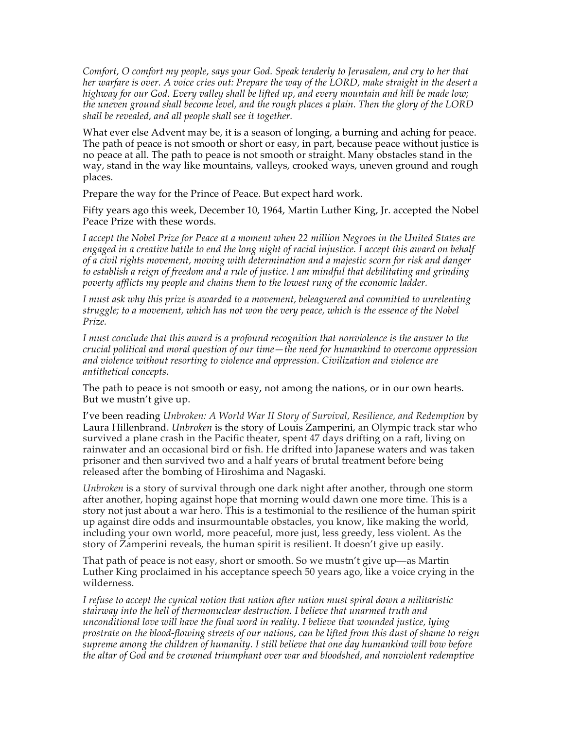*Comfort, O comfort my people, says your God. Speak tenderly to Jerusalem, and cry to her that her warfare is over. A voice cries out: Prepare the way of the LORD, make straight in the desert a highway for our God. Every valley shall be lifted up, and every mountain and hill be made low; the uneven ground shall become level, and the rough places a plain. Then the glory of the LORD shall be revealed, and all people shall see it together.*

What ever else Advent may be, it is a season of longing, a burning and aching for peace. The path of peace is not smooth or short or easy, in part, because peace without justice is no peace at all. The path to peace is not smooth or straight. Many obstacles stand in the way, stand in the way like mountains, valleys, crooked ways, uneven ground and rough places.

Prepare the way for the Prince of Peace. But expect hard work.

Fifty years ago this week, December 10, 1964, Martin Luther King, Jr. accepted the Nobel Peace Prize with these words.

*I accept the Nobel Prize for Peace at a moment when 22 million Negroes in the United States are engaged in a creative battle to end the long night of racial injustice. I accept this award on behalf of a civil rights movement, moving with determination and a majestic scorn for risk and danger to establish a reign of freedom and a rule of justice. I am mindful that debilitating and grinding poverty afflicts my people and chains them to the lowest rung of the economic ladder.*

*I must ask why this prize is awarded to a movement, beleaguered and committed to unrelenting struggle; to a movement, which has not won the very peace, which is the essence of the Nobel Prize.*

*I must conclude that this award is a profound recognition that nonviolence is the answer to the crucial political and moral question of our time—the need for humankind to overcome oppression and violence without resorting to violence and oppression. Civilization and violence are antithetical concepts.*

The path to peace is not smooth or easy, not among the nations, or in our own hearts. But we mustn't give up.

I've been reading *Unbroken: A World War II Story of Survival, Resilience, and Redemption* by Laura Hillenbrand. *Unbroken* is the story of Louis Zamperini, an Olympic track star who survived a plane crash in the Pacific theater, spent 47 days drifting on a raft, living on rainwater and an occasional bird or fish. He drifted into Japanese waters and was taken prisoner and then survived two and a half years of brutal treatment before being released after the bombing of Hiroshima and Nagaski.

*Unbroken* is a story of survival through one dark night after another, through one storm after another, hoping against hope that morning would dawn one more time. This is a story not just about a war hero. This is a testimonial to the resilience of the human spirit up against dire odds and insurmountable obstacles, you know, like making the world, including your own world, more peaceful, more just, less greedy, less violent. As the story of Zamperini reveals, the human spirit is resilient. It doesn't give up easily.

That path of peace is not easy, short or smooth. So we mustn't give up—as Martin Luther King proclaimed in his acceptance speech 50 years ago, like a voice crying in the wilderness.

*I refuse to accept the cynical notion that nation after nation must spiral down a militaristic stairway into the hell of thermonuclear destruction. I believe that unarmed truth and unconditional love will have the final word in reality. I believe that wounded justice, lying prostrate on the blood-flowing streets of our nations, can be lifted from this dust of shame to reign supreme among the children of humanity. I still believe that one day humankind will bow before the altar of God and be crowned triumphant over war and bloodshed, and nonviolent redemptive*